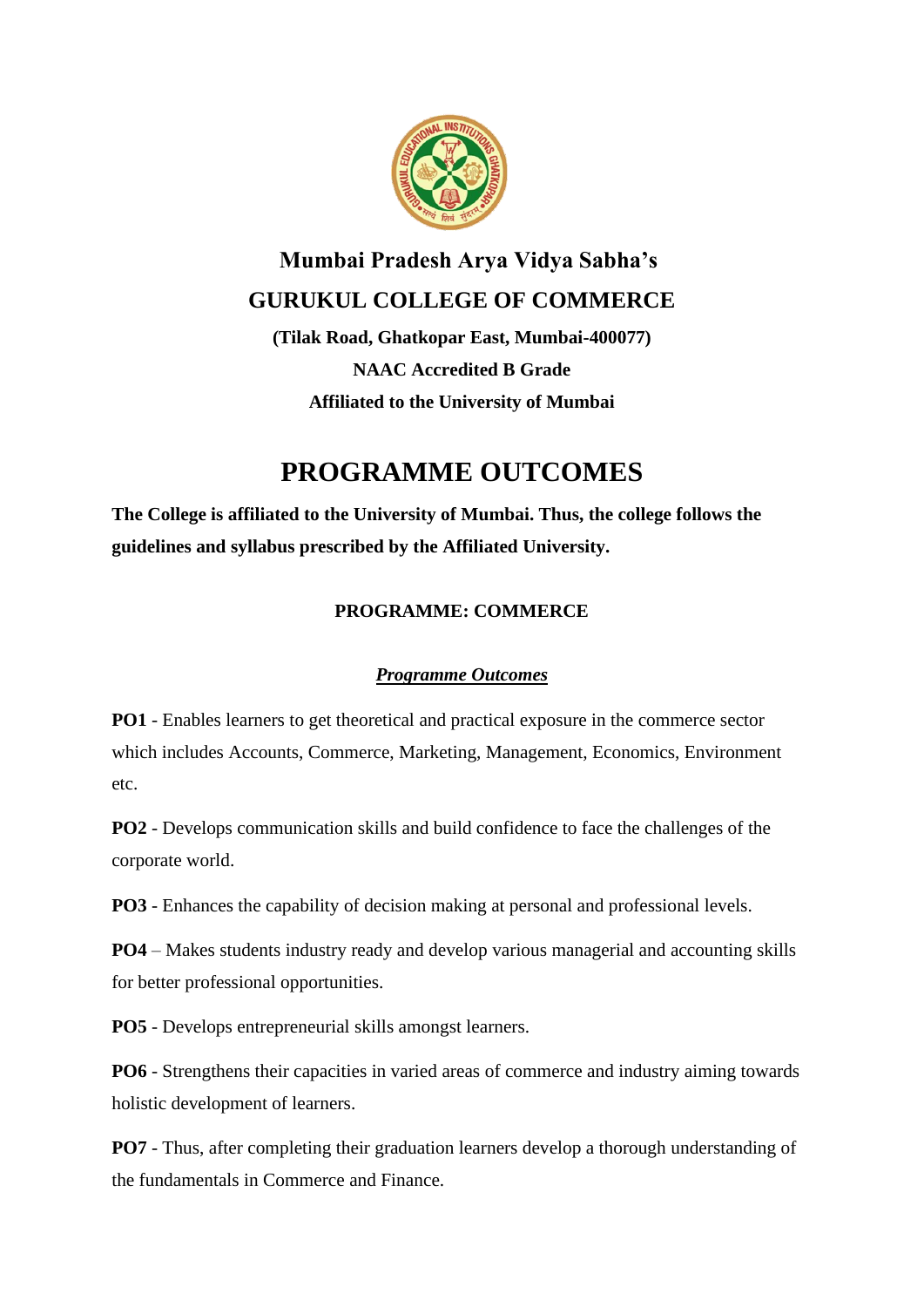

# **Mumbai Pradesh Arya Vidya Sabha's GURUKUL COLLEGE OF COMMERCE**

**(Tilak Road, Ghatkopar East, Mumbai-400077) NAAC Accredited B Grade Affiliated to the University of Mumbai**

# **PROGRAMME OUTCOMES**

**The College is affiliated to the University of Mumbai. Thus, the college follows the guidelines and syllabus prescribed by the Affiliated University.** 

# **PROGRAMME: COMMERCE**

### *Programme Outcomes*

**PO1** - Enables learners to get theoretical and practical exposure in the commerce sector which includes Accounts, Commerce, Marketing, Management, Economics, Environment etc.

**PO2** - Develops communication skills and build confidence to face the challenges of the corporate world.

**PO3** - Enhances the capability of decision making at personal and professional levels.

**PO4** – Makes students industry ready and develop various managerial and accounting skills for better professional opportunities.

**PO5** - Develops entrepreneurial skills amongst learners.

**PO6** - Strengthens their capacities in varied areas of commerce and industry aiming towards holistic development of learners.

**PO7** - Thus, after completing their graduation learners develop a thorough understanding of the fundamentals in Commerce and Finance.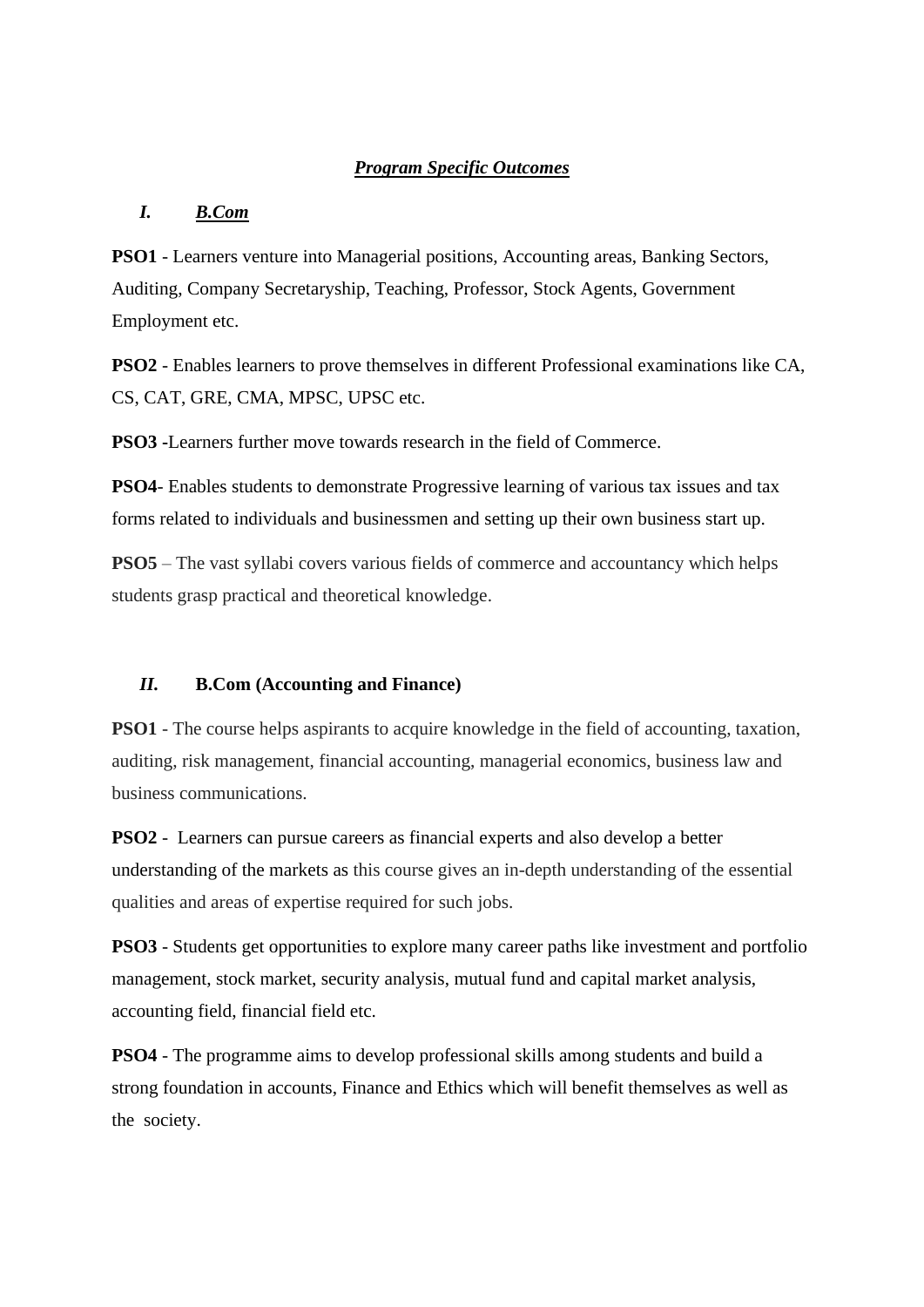### *Program Specific Outcomes*

### *I. B.Com*

**PSO1** - Learners venture into Managerial positions, Accounting areas, Banking Sectors, Auditing, Company Secretaryship, Teaching, Professor, Stock Agents, Government Employment etc.

**PSO2** - Enables learners to prove themselves in different Professional examinations like CA, CS, CAT, GRE, CMA, MPSC, UPSC etc.

**PSO3 -**Learners further move towards research in the field of Commerce.

**PSO4**- Enables students to demonstrate Progressive learning of various tax issues and tax forms related to individuals and businessmen and setting up their own business start up.

**PSO5** – The vast syllabi covers various fields of commerce and accountancy which helps students grasp practical and theoretical knowledge.

#### *II.* **B.Com (Accounting and Finance)**

**PSO1** - The course helps aspirants to acquire knowledge in the field of accounting, taxation, auditing, risk management, financial accounting, managerial economics, business law and business communications.

**PSO2** - Learners can pursue careers as financial experts and also develop a better understanding of the markets as this course gives an in-depth understanding of the essential qualities and areas of expertise required for such jobs.

**PSO3** - Students get opportunities to explore many career paths like investment and portfolio management, stock market, security analysis, mutual fund and capital market analysis, accounting field, financial field etc.

**PSO4** - The programme aims to develop professional skills among students and build a strong foundation in accounts, Finance and Ethics which will benefit themselves as well as the society.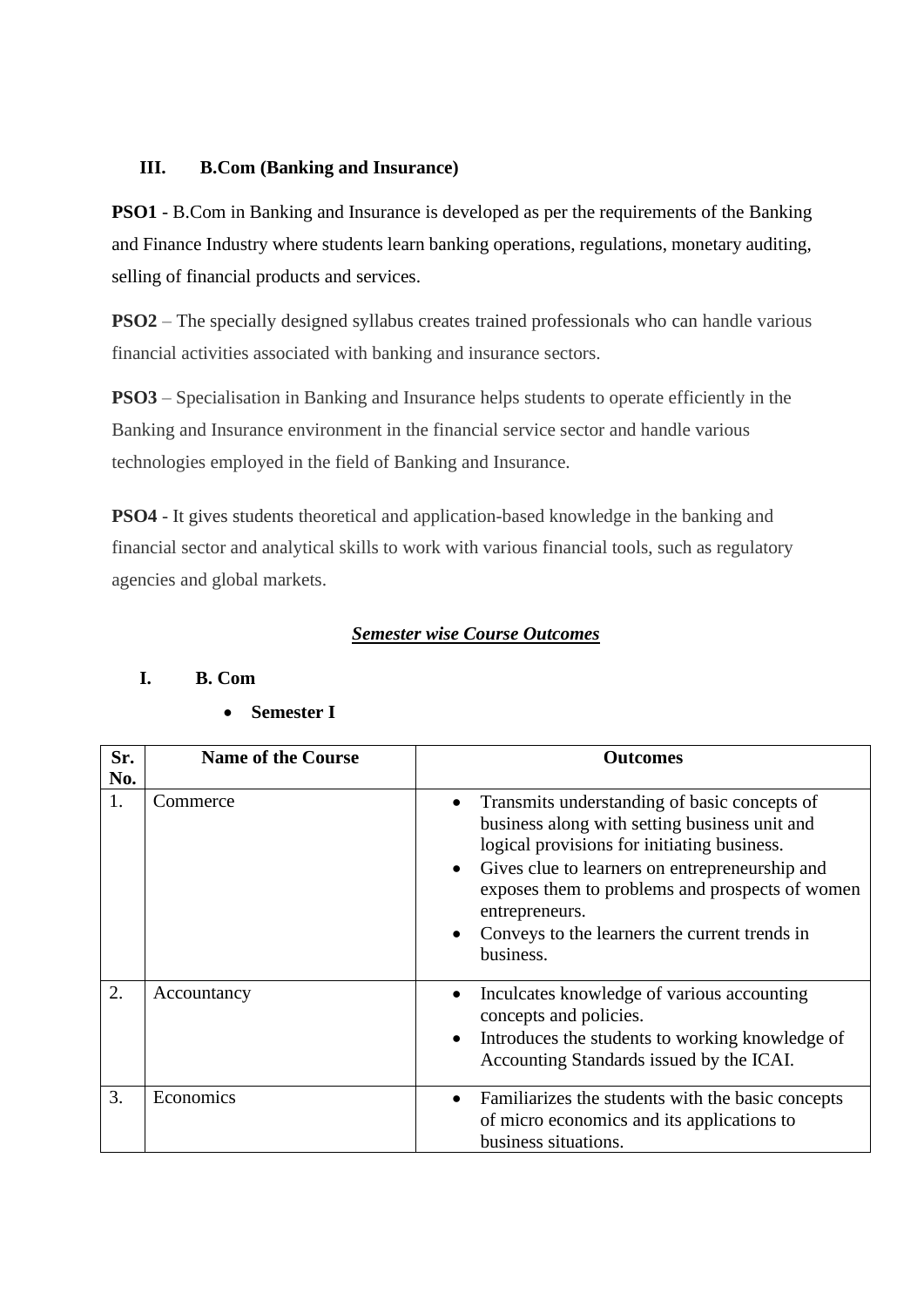### **III. B.Com (Banking and Insurance)**

**PSO1** - B.Com in Banking and Insurance is developed as per the requirements of the Banking and Finance Industry where students learn banking operations, regulations, monetary auditing, selling of financial products and services.

**PSO2** – The specially designed syllabus creates trained professionals who can handle various financial activities associated with banking and insurance sectors.

**PSO3** – Specialisation in Banking and Insurance helps students to operate efficiently in the Banking and Insurance environment in the financial service sector and handle various technologies employed in the field of Banking and Insurance.

**PSO4** - It gives students theoretical and application-based knowledge in the banking and financial sector and analytical skills to work with various financial tools, such as regulatory agencies and global markets.

### *Semester wise Course Outcomes*

| Sr.<br>No. | <b>Name of the Course</b> | <b>Outcomes</b>                                                                                                                                                                                                                                                                                                                                                          |
|------------|---------------------------|--------------------------------------------------------------------------------------------------------------------------------------------------------------------------------------------------------------------------------------------------------------------------------------------------------------------------------------------------------------------------|
| 1.         | Commerce                  | Transmits understanding of basic concepts of<br>$\bullet$<br>business along with setting business unit and<br>logical provisions for initiating business.<br>Gives clue to learners on entrepreneurship and<br>$\bullet$<br>exposes them to problems and prospects of women<br>entrepreneurs.<br>Conveys to the learners the current trends in<br>$\bullet$<br>business. |
| 2.         | Accountancy               | Inculcates knowledge of various accounting<br>$\bullet$<br>concepts and policies.<br>Introduces the students to working knowledge of<br>$\bullet$<br>Accounting Standards issued by the ICAI.                                                                                                                                                                            |
| 3.         | Economics                 | Familiarizes the students with the basic concepts<br>$\bullet$<br>of micro economics and its applications to<br>business situations.                                                                                                                                                                                                                                     |

### **I. B. Com**

| <b>Semester I</b> |  |
|-------------------|--|
|-------------------|--|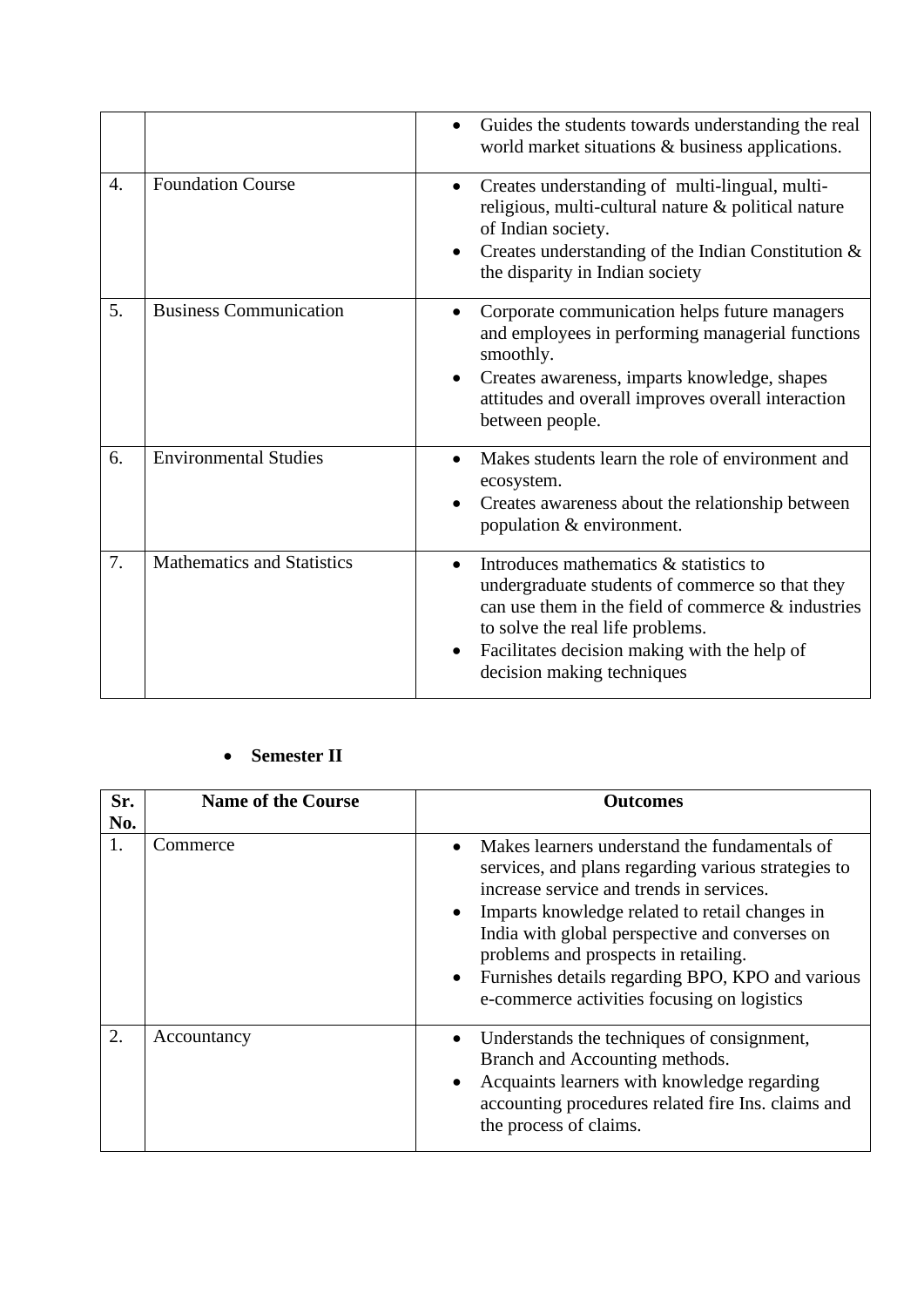|    |                                   | Guides the students towards understanding the real<br>world market situations & business applications.                                                                                                                                                               |
|----|-----------------------------------|----------------------------------------------------------------------------------------------------------------------------------------------------------------------------------------------------------------------------------------------------------------------|
| 4. | <b>Foundation Course</b>          | Creates understanding of multi-lingual, multi-<br>$\bullet$<br>religious, multi-cultural nature & political nature<br>of Indian society.<br>Creates understanding of the Indian Constitution $\&$<br>the disparity in Indian society                                 |
| 5. | <b>Business Communication</b>     | Corporate communication helps future managers<br>and employees in performing managerial functions<br>smoothly.<br>Creates awareness, imparts knowledge, shapes<br>attitudes and overall improves overall interaction<br>between people.                              |
| 6. | <b>Environmental Studies</b>      | Makes students learn the role of environment and<br>ecosystem.<br>Creates awareness about the relationship between<br>population & environment.                                                                                                                      |
| 7. | <b>Mathematics and Statistics</b> | Introduces mathematics & statistics to<br>undergraduate students of commerce so that they<br>can use them in the field of commerce $\&$ industries<br>to solve the real life problems.<br>Facilitates decision making with the help of<br>decision making techniques |

### • **Semester II**

| Sr. | <b>Name of the Course</b> | <b>Outcomes</b>                                                                                                                                                                                                                                                                                                                                                                                                           |
|-----|---------------------------|---------------------------------------------------------------------------------------------------------------------------------------------------------------------------------------------------------------------------------------------------------------------------------------------------------------------------------------------------------------------------------------------------------------------------|
| No. | Commerce                  | Makes learners understand the fundamentals of<br>services, and plans regarding various strategies to<br>increase service and trends in services.<br>Imparts knowledge related to retail changes in<br>$\bullet$<br>India with global perspective and converses on<br>problems and prospects in retailing.<br>Furnishes details regarding BPO, KPO and various<br>$\bullet$<br>e-commerce activities focusing on logistics |
| 2.  | Accountancy               | Understands the techniques of consignment,<br>$\bullet$<br>Branch and Accounting methods.<br>Acquaints learners with knowledge regarding<br>$\bullet$<br>accounting procedures related fire Ins. claims and<br>the process of claims.                                                                                                                                                                                     |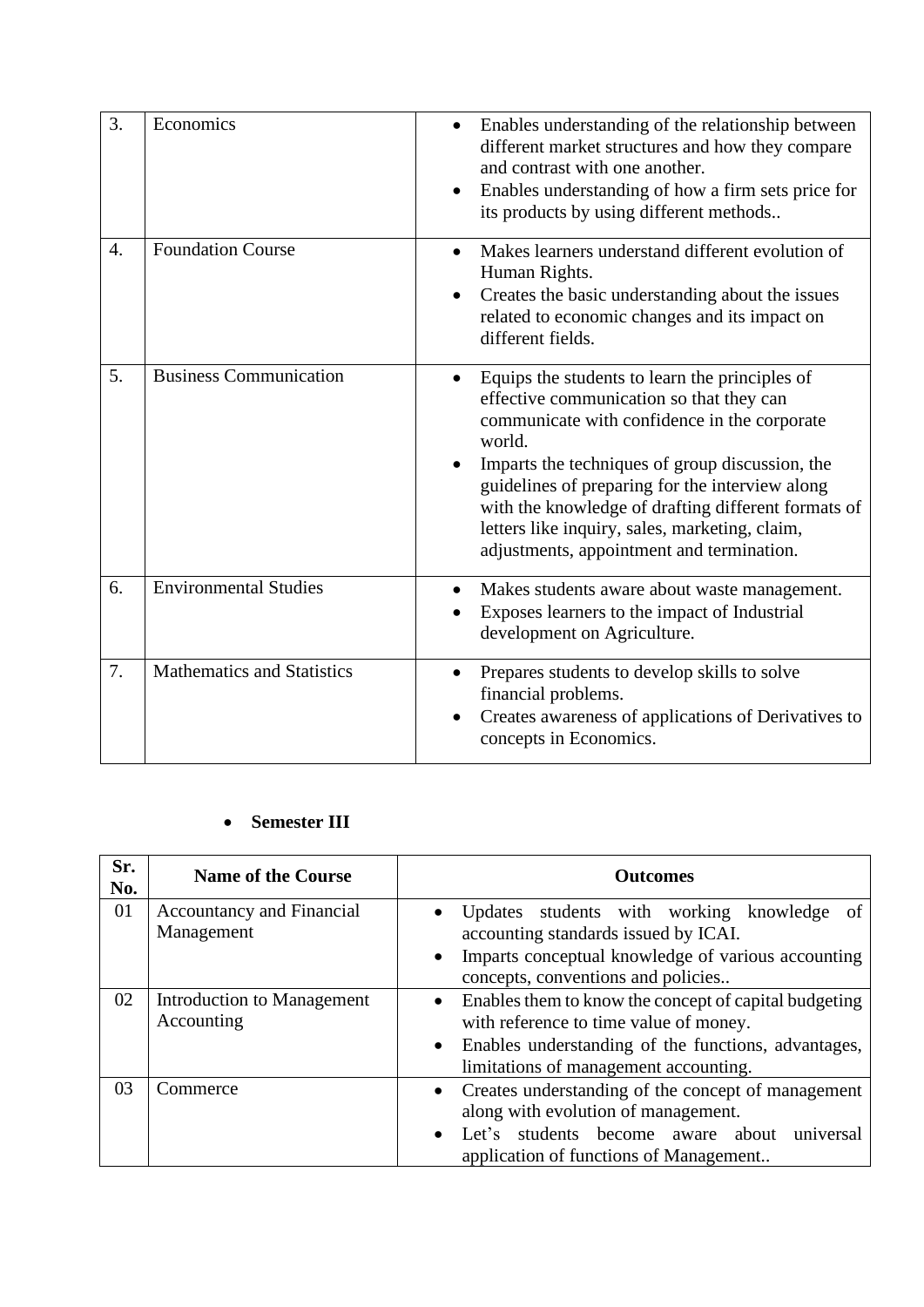| 3. | Economics                         | Enables understanding of the relationship between<br>$\bullet$<br>different market structures and how they compare<br>and contrast with one another.<br>Enables understanding of how a firm sets price for<br>$\bullet$<br>its products by using different methods                                                                                                                                                            |
|----|-----------------------------------|-------------------------------------------------------------------------------------------------------------------------------------------------------------------------------------------------------------------------------------------------------------------------------------------------------------------------------------------------------------------------------------------------------------------------------|
| 4. | <b>Foundation Course</b>          | Makes learners understand different evolution of<br>$\bullet$<br>Human Rights.<br>Creates the basic understanding about the issues<br>$\bullet$<br>related to economic changes and its impact on<br>different fields.                                                                                                                                                                                                         |
| 5. | <b>Business Communication</b>     | Equips the students to learn the principles of<br>$\bullet$<br>effective communication so that they can<br>communicate with confidence in the corporate<br>world.<br>Imparts the techniques of group discussion, the<br>guidelines of preparing for the interview along<br>with the knowledge of drafting different formats of<br>letters like inquiry, sales, marketing, claim,<br>adjustments, appointment and termination. |
| 6. | <b>Environmental Studies</b>      | Makes students aware about waste management.<br>Exposes learners to the impact of Industrial<br>development on Agriculture.                                                                                                                                                                                                                                                                                                   |
| 7. | <b>Mathematics and Statistics</b> | Prepares students to develop skills to solve<br>$\bullet$<br>financial problems.<br>Creates awareness of applications of Derivatives to<br>concepts in Economics.                                                                                                                                                                                                                                                             |

## • **Semester III**

| Sr.<br>No. | <b>Name of the Course</b>                | <b>Outcomes</b>                                                                                                                                                                                 |
|------------|------------------------------------------|-------------------------------------------------------------------------------------------------------------------------------------------------------------------------------------------------|
| 01         | Accountancy and Financial<br>Management  | Updates students with working knowledge<br>of<br>accounting standards issued by ICAI.<br>Imparts conceptual knowledge of various accounting<br>concepts, conventions and policies               |
| 02         | Introduction to Management<br>Accounting | Enables them to know the concept of capital budgeting<br>with reference to time value of money.<br>Enables understanding of the functions, advantages,<br>limitations of management accounting. |
| 03         | Commerce                                 | • Creates understanding of the concept of management<br>along with evolution of management.<br>Let's students become aware<br>universal<br>about<br>application of functions of Management      |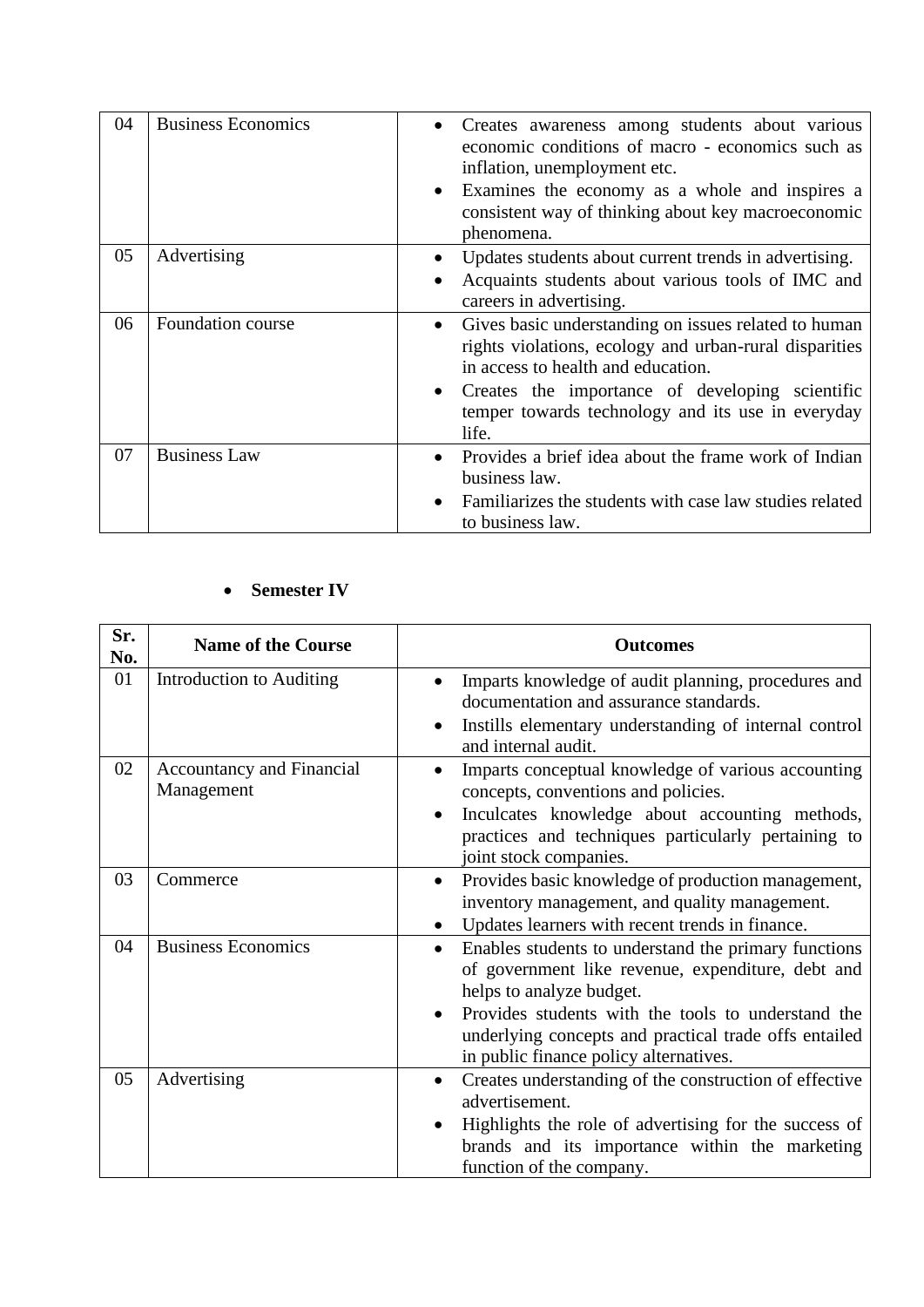| 04 | <b>Business Economics</b> | Creates awareness among students about various<br>economic conditions of macro - economics such as<br>inflation, unemployment etc.<br>Examines the economy as a whole and inspires a<br>consistent way of thinking about key macroeconomic<br>phenomena.                                        |
|----|---------------------------|-------------------------------------------------------------------------------------------------------------------------------------------------------------------------------------------------------------------------------------------------------------------------------------------------|
| 05 | Advertising               | Updates students about current trends in advertising.<br>Acquaints students about various tools of IMC and<br>careers in advertising.                                                                                                                                                           |
| 06 | Foundation course         | Gives basic understanding on issues related to human<br>$\bullet$<br>rights violations, ecology and urban-rural disparities<br>in access to health and education.<br>Creates the importance of developing scientific<br>$\bullet$<br>temper towards technology and its use in everyday<br>life. |
| 07 | <b>Business Law</b>       | Provides a brief idea about the frame work of Indian<br>business law.<br>Familiarizes the students with case law studies related<br>to business law.                                                                                                                                            |

# • **Semester IV**

| Sr.<br>No. | <b>Name of the Course</b>               | <b>Outcomes</b>                                                                                                                                                                                                                                                                                             |
|------------|-----------------------------------------|-------------------------------------------------------------------------------------------------------------------------------------------------------------------------------------------------------------------------------------------------------------------------------------------------------------|
| 01         | <b>Introduction to Auditing</b>         | Imparts knowledge of audit planning, procedures and<br>documentation and assurance standards.<br>Instills elementary understanding of internal control<br>and internal audit.                                                                                                                               |
| 02         | Accountancy and Financial<br>Management | Imparts conceptual knowledge of various accounting<br>concepts, conventions and policies.<br>Inculcates knowledge about accounting methods,<br>practices and techniques particularly pertaining to<br>joint stock companies.                                                                                |
| 03         | Commerce                                | Provides basic knowledge of production management,<br>$\bullet$<br>inventory management, and quality management.<br>Updates learners with recent trends in finance.<br>$\bullet$                                                                                                                            |
| 04         | <b>Business Economics</b>               | Enables students to understand the primary functions<br>$\bullet$<br>of government like revenue, expenditure, debt and<br>helps to analyze budget.<br>Provides students with the tools to understand the<br>underlying concepts and practical trade offs entailed<br>in public finance policy alternatives. |
| 05         | Advertising                             | Creates understanding of the construction of effective<br>$\bullet$<br>advertisement.<br>Highlights the role of advertising for the success of<br>$\bullet$<br>brands and its importance within the marketing<br>function of the company.                                                                   |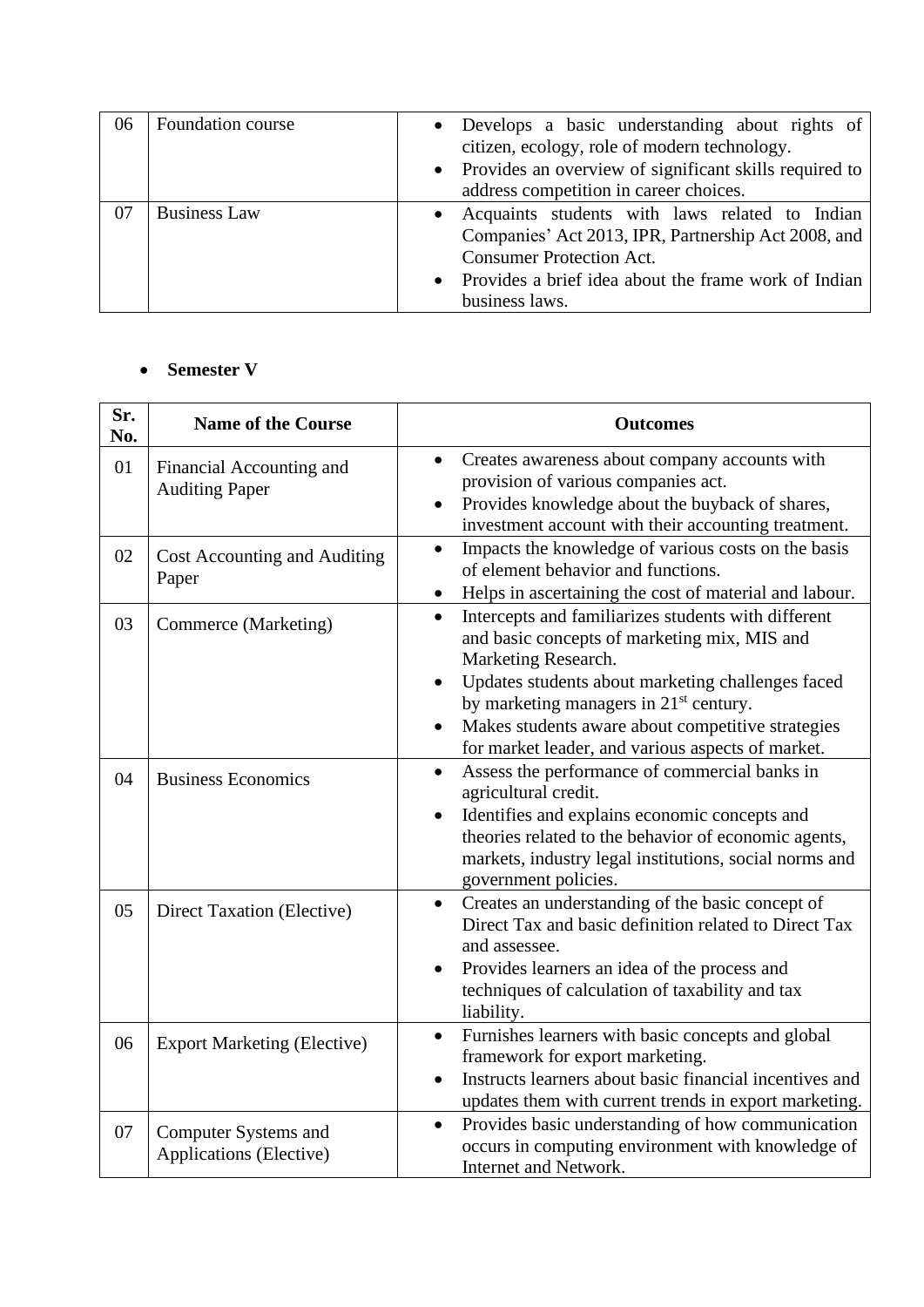| 06 | Foundation course   | • Develops a basic understanding about rights of<br>citizen, ecology, role of modern technology.<br>• Provides an overview of significant skills required to<br>address competition in career choices.                 |
|----|---------------------|------------------------------------------------------------------------------------------------------------------------------------------------------------------------------------------------------------------------|
| 07 | <b>Business Law</b> | • Acquaints students with laws related to Indian<br>Companies' Act 2013, IPR, Partnership Act 2008, and<br><b>Consumer Protection Act.</b><br>• Provides a brief idea about the frame work of Indian<br>business laws. |

### • **Semester V**

| Sr.<br>No. | <b>Name of the Course</b>                         | <b>Outcomes</b>                                                                                                                                                                                                                                                                                                                                              |
|------------|---------------------------------------------------|--------------------------------------------------------------------------------------------------------------------------------------------------------------------------------------------------------------------------------------------------------------------------------------------------------------------------------------------------------------|
| 01         | Financial Accounting and<br><b>Auditing Paper</b> | Creates awareness about company accounts with<br>$\bullet$<br>provision of various companies act.<br>Provides knowledge about the buyback of shares,<br>investment account with their accounting treatment.                                                                                                                                                  |
| 02         | Cost Accounting and Auditing<br>Paper             | Impacts the knowledge of various costs on the basis<br>$\bullet$<br>of element behavior and functions.<br>Helps in ascertaining the cost of material and labour.<br>$\bullet$                                                                                                                                                                                |
| 03         | Commerce (Marketing)                              | Intercepts and familiarizes students with different<br>$\bullet$<br>and basic concepts of marketing mix, MIS and<br>Marketing Research.<br>Updates students about marketing challenges faced<br>by marketing managers in 21 <sup>st</sup> century.<br>Makes students aware about competitive strategies<br>for market leader, and various aspects of market. |
| 04         | <b>Business Economics</b>                         | Assess the performance of commercial banks in<br>$\bullet$<br>agricultural credit.<br>Identifies and explains economic concepts and<br>theories related to the behavior of economic agents,<br>markets, industry legal institutions, social norms and<br>government policies.                                                                                |
| 05         | Direct Taxation (Elective)                        | Creates an understanding of the basic concept of<br>$\bullet$<br>Direct Tax and basic definition related to Direct Tax<br>and assessee.<br>Provides learners an idea of the process and<br>techniques of calculation of taxability and tax<br>liability.                                                                                                     |
| 06         | <b>Export Marketing (Elective)</b>                | Furnishes learners with basic concepts and global<br>$\bullet$<br>framework for export marketing.<br>Instructs learners about basic financial incentives and<br>updates them with current trends in export marketing.                                                                                                                                        |
| 07         | Computer Systems and<br>Applications (Elective)   | Provides basic understanding of how communication<br>$\bullet$<br>occurs in computing environment with knowledge of<br>Internet and Network.                                                                                                                                                                                                                 |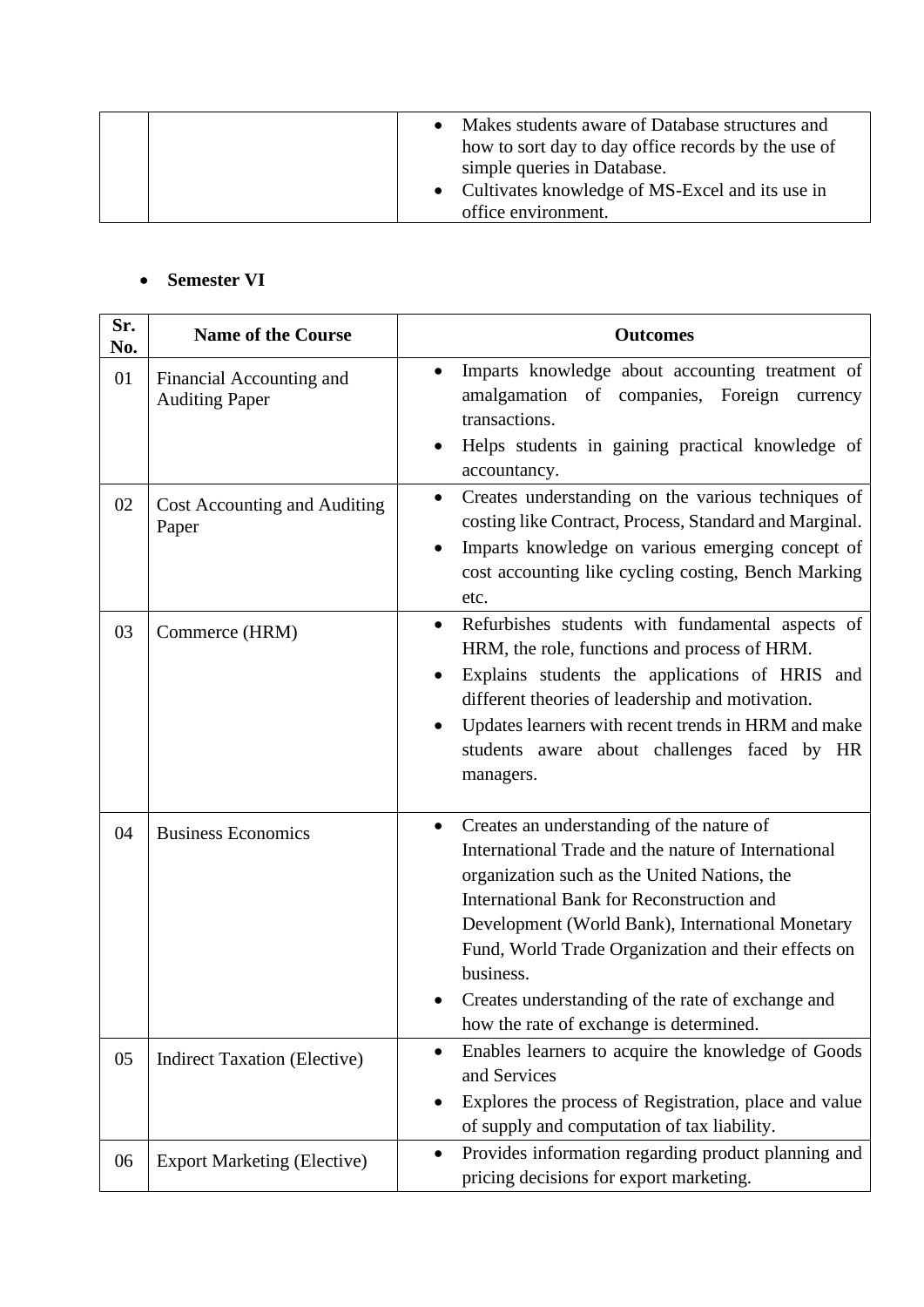|  | Makes students aware of Database structures and<br>how to sort day to day office records by the use of<br>simple queries in Database. |
|--|---------------------------------------------------------------------------------------------------------------------------------------|
|  | • Cultivates knowledge of MS-Excel and its use in                                                                                     |
|  | office environment.                                                                                                                   |

### • **Semester VI**

| Sr.<br>No. | <b>Name of the Course</b>                         | <b>Outcomes</b>                                                                                                                                                                                                                                                                                                                                                                                                                    |
|------------|---------------------------------------------------|------------------------------------------------------------------------------------------------------------------------------------------------------------------------------------------------------------------------------------------------------------------------------------------------------------------------------------------------------------------------------------------------------------------------------------|
| 01         | Financial Accounting and<br><b>Auditing Paper</b> | Imparts knowledge about accounting treatment of<br>amalgamation of companies, Foreign<br>currency<br>transactions.                                                                                                                                                                                                                                                                                                                 |
|            |                                                   | Helps students in gaining practical knowledge of<br>accountancy.                                                                                                                                                                                                                                                                                                                                                                   |
| 02         | Cost Accounting and Auditing<br>Paper             | Creates understanding on the various techniques of<br>$\bullet$<br>costing like Contract, Process, Standard and Marginal.<br>Imparts knowledge on various emerging concept of<br>cost accounting like cycling costing, Bench Marking<br>etc.                                                                                                                                                                                       |
| 03         | Commerce (HRM)                                    | Refurbishes students with fundamental aspects of<br>$\bullet$<br>HRM, the role, functions and process of HRM.<br>Explains students the applications of HRIS and<br>$\bullet$<br>different theories of leadership and motivation.<br>Updates learners with recent trends in HRM and make<br>students aware about challenges faced by HR<br>managers.                                                                                |
| 04         | <b>Business Economics</b>                         | Creates an understanding of the nature of<br>$\bullet$<br>International Trade and the nature of International<br>organization such as the United Nations, the<br>International Bank for Reconstruction and<br>Development (World Bank), International Monetary<br>Fund, World Trade Organization and their effects on<br>business.<br>Creates understanding of the rate of exchange and<br>how the rate of exchange is determined. |
| 05         | <b>Indirect Taxation (Elective)</b>               | Enables learners to acquire the knowledge of Goods<br>and Services<br>Explores the process of Registration, place and value<br>of supply and computation of tax liability.                                                                                                                                                                                                                                                         |
| 06         | <b>Export Marketing (Elective)</b>                | Provides information regarding product planning and<br>pricing decisions for export marketing.                                                                                                                                                                                                                                                                                                                                     |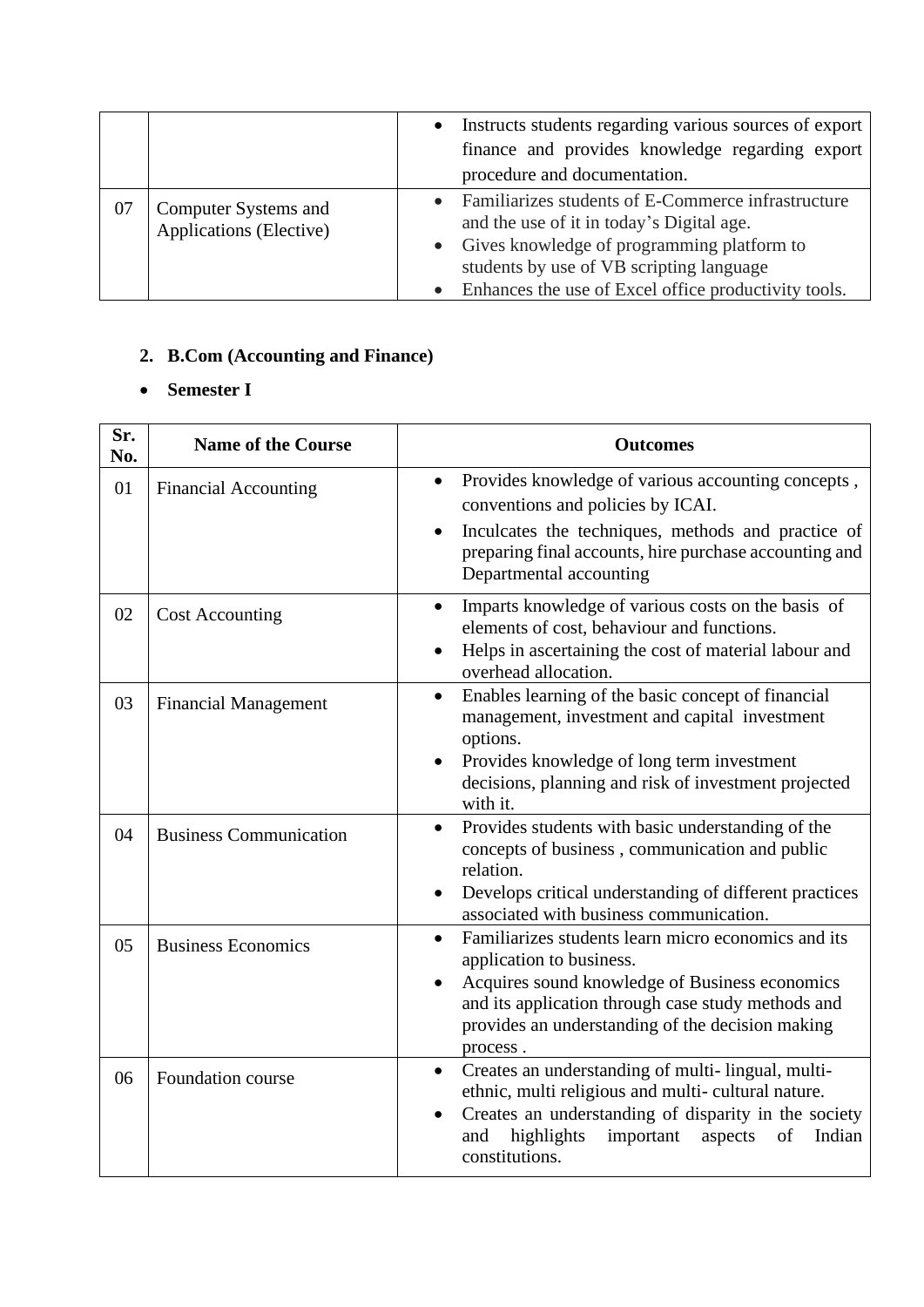|    |                                                 | Instructs students regarding various sources of export<br>finance and provides knowledge regarding export<br>procedure and documentation.                                                                                                           |
|----|-------------------------------------------------|-----------------------------------------------------------------------------------------------------------------------------------------------------------------------------------------------------------------------------------------------------|
| 07 | Computer Systems and<br>Applications (Elective) | Familiarizes students of E-Commerce infrastructure<br>and the use of it in today's Digital age.<br>• Gives knowledge of programming platform to<br>students by use of VB scripting language<br>Enhances the use of Excel office productivity tools. |

# **2. B.Com (Accounting and Finance)**

# • **Semester I**

| Sr.<br>No. | <b>Name of the Course</b>     | <b>Outcomes</b>                                                                                                                                                                                                                                                      |
|------------|-------------------------------|----------------------------------------------------------------------------------------------------------------------------------------------------------------------------------------------------------------------------------------------------------------------|
| 01         | <b>Financial Accounting</b>   | Provides knowledge of various accounting concepts,<br>$\bullet$<br>conventions and policies by ICAI.<br>Inculcates the techniques, methods and practice of<br>preparing final accounts, hire purchase accounting and<br>Departmental accounting                      |
| 02         | <b>Cost Accounting</b>        | Imparts knowledge of various costs on the basis of<br>elements of cost, behaviour and functions.<br>Helps in ascertaining the cost of material labour and<br>overhead allocation.                                                                                    |
| 03         | <b>Financial Management</b>   | Enables learning of the basic concept of financial<br>$\bullet$<br>management, investment and capital investment<br>options.<br>Provides knowledge of long term investment<br>decisions, planning and risk of investment projected<br>with it.                       |
| 04         | <b>Business Communication</b> | Provides students with basic understanding of the<br>$\bullet$<br>concepts of business, communication and public<br>relation.<br>Develops critical understanding of different practices<br>associated with business communication.                                   |
| 05         | <b>Business Economics</b>     | Familiarizes students learn micro economics and its<br>$\bullet$<br>application to business.<br>Acquires sound knowledge of Business economics<br>and its application through case study methods and<br>provides an understanding of the decision making<br>process. |
| 06         | Foundation course             | Creates an understanding of multi-lingual, multi-<br>$\bullet$<br>ethnic, multi religious and multi-cultural nature.<br>Creates an understanding of disparity in the society<br>highlights<br>important<br>of<br>Indian<br>aspects<br>and<br>constitutions.          |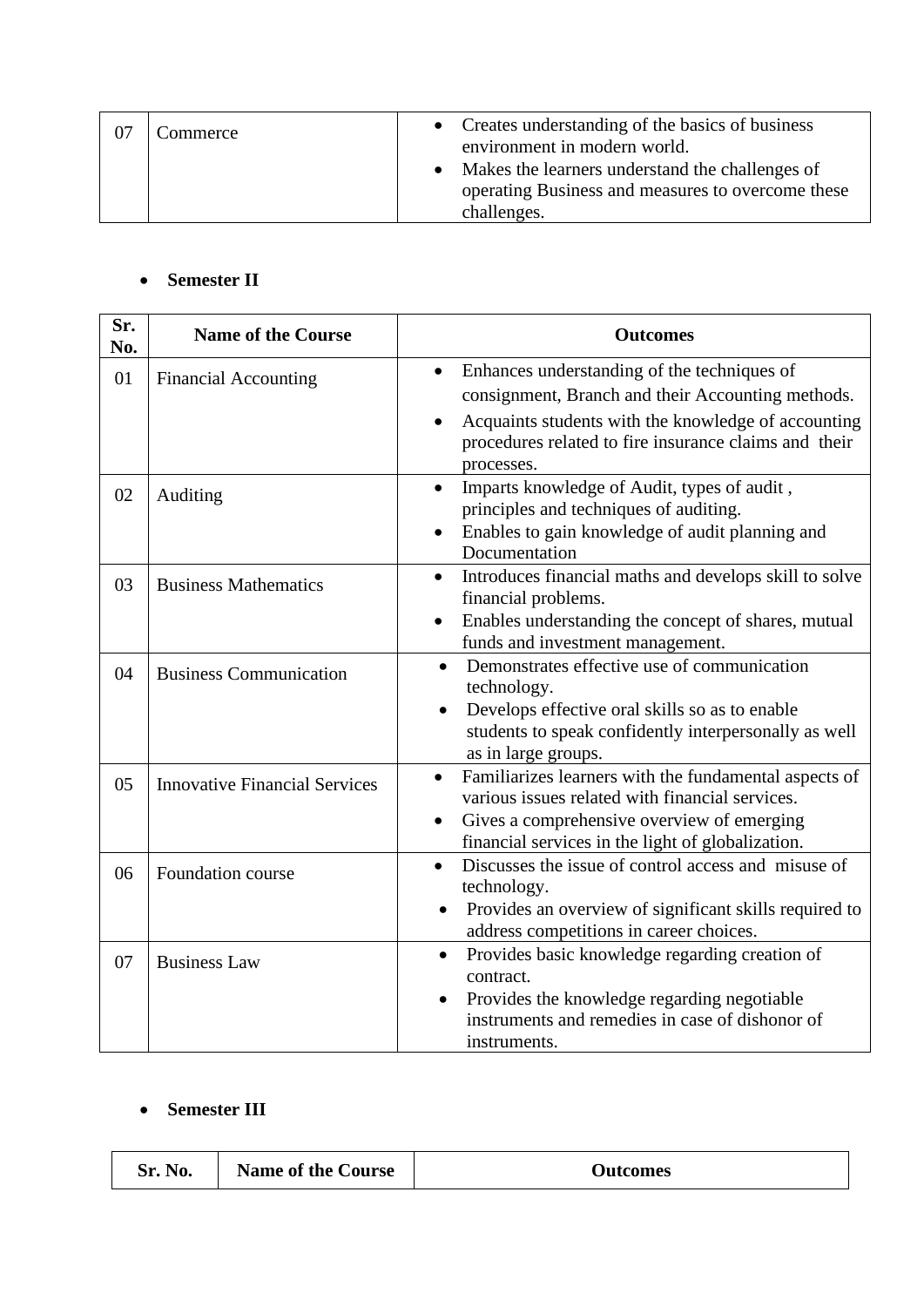| Commerce | • Creates understanding of the basics of business<br>environment in modern world. |
|----------|-----------------------------------------------------------------------------------|
|          | Makes the learners understand the challenges of                                   |
|          | operating Business and measures to overcome these                                 |
|          | challenges.                                                                       |

### • **Semester II**

| Sr.<br>No. | <b>Name of the Course</b>            | <b>Outcomes</b>                                                                                                                                                                                                                                          |
|------------|--------------------------------------|----------------------------------------------------------------------------------------------------------------------------------------------------------------------------------------------------------------------------------------------------------|
| 01         | <b>Financial Accounting</b>          | Enhances understanding of the techniques of<br>$\bullet$<br>consignment, Branch and their Accounting methods.<br>Acquaints students with the knowledge of accounting<br>$\bullet$<br>procedures related to fire insurance claims and their<br>processes. |
| 02         | Auditing                             | Imparts knowledge of Audit, types of audit,<br>$\bullet$<br>principles and techniques of auditing.<br>Enables to gain knowledge of audit planning and<br>Documentation                                                                                   |
| 03         | <b>Business Mathematics</b>          | Introduces financial maths and develops skill to solve<br>$\bullet$<br>financial problems.<br>Enables understanding the concept of shares, mutual<br>funds and investment management.                                                                    |
| 04         | <b>Business Communication</b>        | Demonstrates effective use of communication<br>$\bullet$<br>technology.<br>Develops effective oral skills so as to enable<br>students to speak confidently interpersonally as well<br>as in large groups.                                                |
| 05         | <b>Innovative Financial Services</b> | Familiarizes learners with the fundamental aspects of<br>$\bullet$<br>various issues related with financial services.<br>Gives a comprehensive overview of emerging<br>financial services in the light of globalization.                                 |
| 06         | Foundation course                    | Discusses the issue of control access and misuse of<br>$\bullet$<br>technology.<br>Provides an overview of significant skills required to<br>address competitions in career choices.                                                                     |
| 07         | <b>Business Law</b>                  | Provides basic knowledge regarding creation of<br>$\bullet$<br>contract.<br>Provides the knowledge regarding negotiable<br>$\bullet$<br>instruments and remedies in case of dishonor of<br>instruments.                                                  |

### • **Semester III**

| Sr. No. | <b>Name of the Course</b> | Dutcomes! |
|---------|---------------------------|-----------|
|---------|---------------------------|-----------|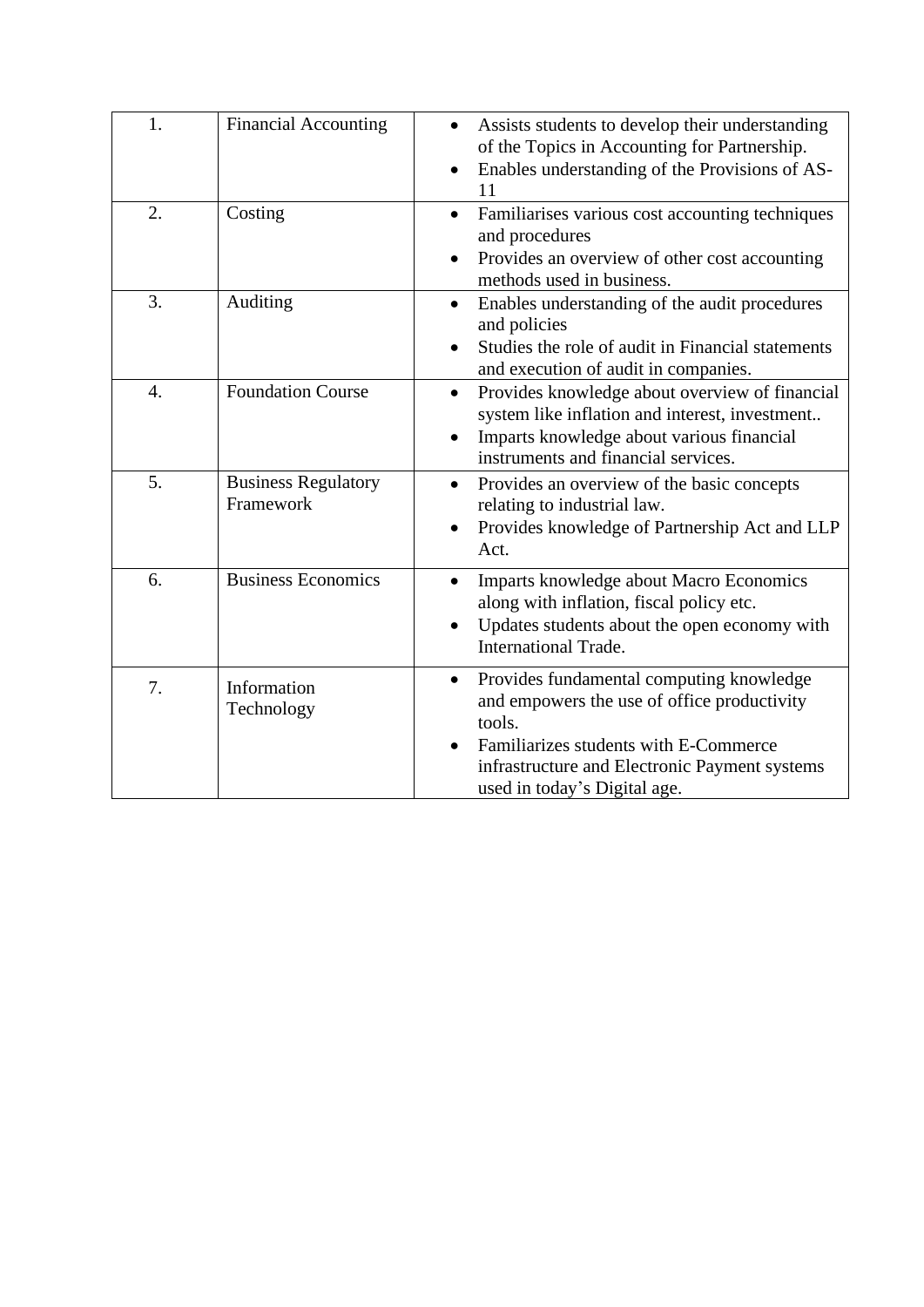| 1.               | <b>Financial Accounting</b>             | Assists students to develop their understanding<br>of the Topics in Accounting for Partnership.<br>Enables understanding of the Provisions of AS-<br>11                                                                                  |
|------------------|-----------------------------------------|------------------------------------------------------------------------------------------------------------------------------------------------------------------------------------------------------------------------------------------|
| 2.               | Costing                                 | Familiarises various cost accounting techniques<br>and procedures<br>Provides an overview of other cost accounting<br>methods used in business.                                                                                          |
| 3.               | Auditing                                | Enables understanding of the audit procedures<br>$\bullet$<br>and policies<br>Studies the role of audit in Financial statements<br>and execution of audit in companies.                                                                  |
| $\overline{4}$ . | <b>Foundation Course</b>                | Provides knowledge about overview of financial<br>$\bullet$<br>system like inflation and interest, investment<br>Imparts knowledge about various financial<br>instruments and financial services.                                        |
| 5.               | <b>Business Regulatory</b><br>Framework | Provides an overview of the basic concepts<br>$\bullet$<br>relating to industrial law.<br>Provides knowledge of Partnership Act and LLP<br>$\bullet$<br>Act.                                                                             |
| 6.               | <b>Business Economics</b>               | Imparts knowledge about Macro Economics<br>along with inflation, fiscal policy etc.<br>Updates students about the open economy with<br><b>International Trade.</b>                                                                       |
| 7.               | Information<br>Technology               | Provides fundamental computing knowledge<br>$\bullet$<br>and empowers the use of office productivity<br>tools.<br>Familiarizes students with E-Commerce<br>infrastructure and Electronic Payment systems<br>used in today's Digital age. |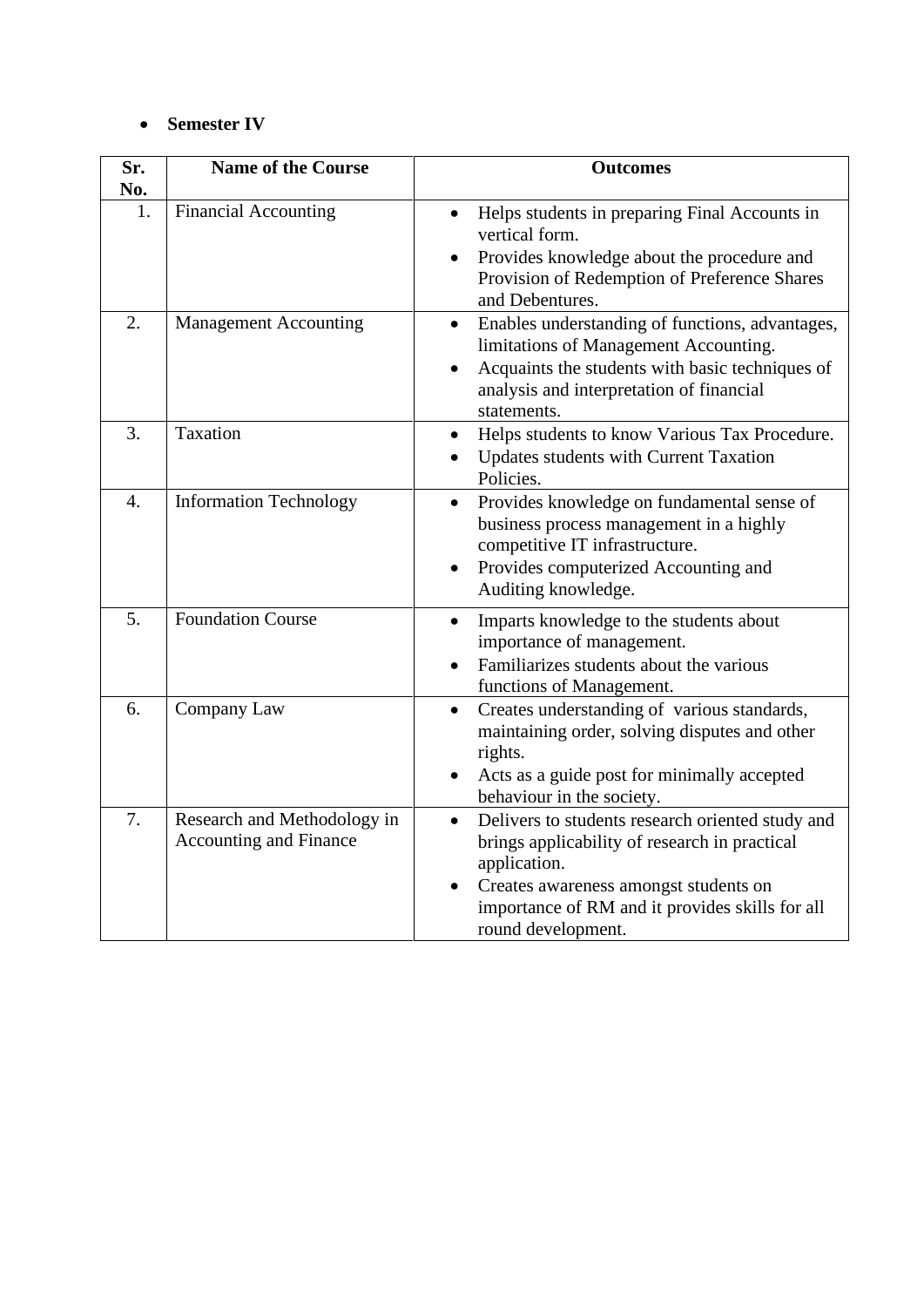### • **Semester IV**

| Sr.              | <b>Name of the Course</b>                                    | <b>Outcomes</b>                                                                                                                                                                                                                     |
|------------------|--------------------------------------------------------------|-------------------------------------------------------------------------------------------------------------------------------------------------------------------------------------------------------------------------------------|
| No.              |                                                              |                                                                                                                                                                                                                                     |
| 1.               | <b>Financial Accounting</b>                                  | Helps students in preparing Final Accounts in<br>vertical form.                                                                                                                                                                     |
|                  |                                                              | Provides knowledge about the procedure and<br>Provision of Redemption of Preference Shares<br>and Debentures.                                                                                                                       |
| 2.               | <b>Management Accounting</b>                                 | Enables understanding of functions, advantages,<br>$\bullet$<br>limitations of Management Accounting.<br>Acquaints the students with basic techniques of<br>$\bullet$<br>analysis and interpretation of financial<br>statements.    |
| 3.               | Taxation                                                     | Helps students to know Various Tax Procedure.<br>$\bullet$<br>Updates students with Current Taxation<br>Policies.                                                                                                                   |
| $\overline{4}$ . | <b>Information Technology</b>                                | Provides knowledge on fundamental sense of<br>$\bullet$<br>business process management in a highly<br>competitive IT infrastructure.<br>Provides computerized Accounting and<br>$\bullet$<br>Auditing knowledge.                    |
| 5.               | <b>Foundation Course</b>                                     | Imparts knowledge to the students about<br>$\bullet$<br>importance of management.<br>Familiarizes students about the various<br>functions of Management.                                                                            |
| 6.               | Company Law                                                  | Creates understanding of various standards,<br>$\bullet$<br>maintaining order, solving disputes and other<br>rights.<br>Acts as a guide post for minimally accepted<br>behaviour in the society.                                    |
| 7.               | Research and Methodology in<br><b>Accounting and Finance</b> | Delivers to students research oriented study and<br>brings applicability of research in practical<br>application.<br>Creates awareness amongst students on<br>importance of RM and it provides skills for all<br>round development. |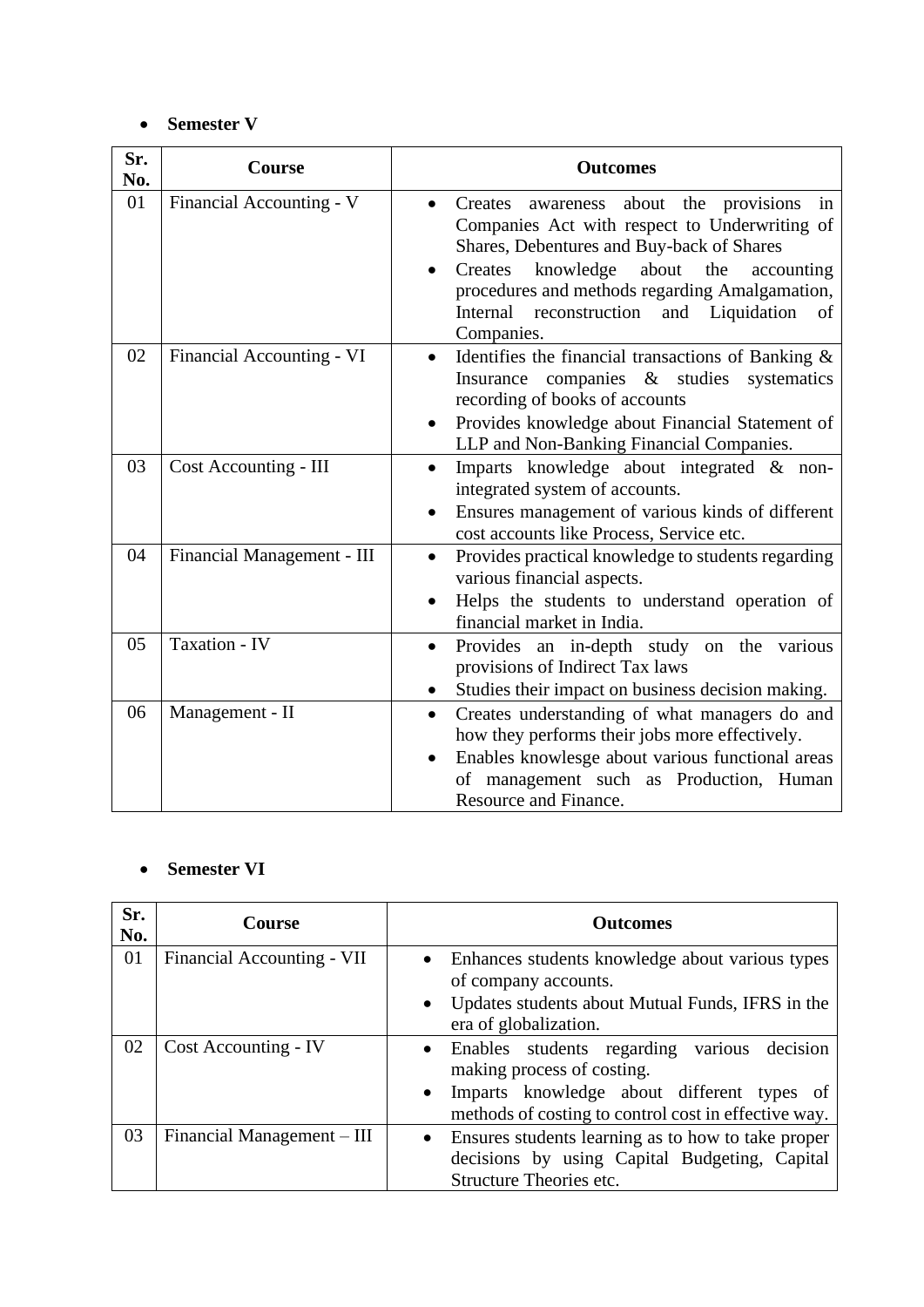### • **Semester V**

| Sr.<br>No. | Course                     | <b>Outcomes</b>                                                                                                                                                                                                                                                                                                             |
|------------|----------------------------|-----------------------------------------------------------------------------------------------------------------------------------------------------------------------------------------------------------------------------------------------------------------------------------------------------------------------------|
| 01         | Financial Accounting - V   | Creates awareness about the provisions in<br>$\bullet$<br>Companies Act with respect to Underwriting of<br>Shares, Debentures and Buy-back of Shares<br>knowledge<br>about<br>the<br>Creates<br>accounting<br>procedures and methods regarding Amalgamation,<br>Internal reconstruction and Liquidation<br>of<br>Companies. |
| 02         | Financial Accounting - VI  | Identifies the financial transactions of Banking $\&$<br>companies & studies<br>Insurance<br>systematics<br>recording of books of accounts<br>Provides knowledge about Financial Statement of<br>LLP and Non-Banking Financial Companies.                                                                                   |
| 03         | Cost Accounting - III      | Imparts knowledge about integrated & non-<br>$\bullet$<br>integrated system of accounts.<br>Ensures management of various kinds of different<br>cost accounts like Process, Service etc.                                                                                                                                    |
| 04         | Financial Management - III | Provides practical knowledge to students regarding<br>$\bullet$<br>various financial aspects.<br>Helps the students to understand operation of<br>financial market in India.                                                                                                                                                |
| 05         | Taxation - IV              | Provides an in-depth study on the various<br>$\bullet$<br>provisions of Indirect Tax laws<br>Studies their impact on business decision making.                                                                                                                                                                              |
| 06         | Management - II            | Creates understanding of what managers do and<br>$\bullet$<br>how they performs their jobs more effectively.<br>Enables knowlesge about various functional areas<br>of management such as Production, Human<br>Resource and Finance.                                                                                        |

### • **Semester VI**

| Sr.<br>No. | <b>Course</b>              | <b>Outcomes</b>                                                                                                 |
|------------|----------------------------|-----------------------------------------------------------------------------------------------------------------|
| 01         | Financial Accounting - VII | Enhances students knowledge about various types<br>$\bullet$<br>of company accounts.                            |
|            |                            | Updates students about Mutual Funds, IFRS in the<br>$\bullet$<br>era of globalization.                          |
| 02         | Cost Accounting - IV       | Enables students regarding<br>decision<br>various<br>$\bullet$<br>making process of costing.                    |
|            |                            | Imparts knowledge about different types of<br>$\bullet$<br>methods of costing to control cost in effective way. |
| 03         | Financial Management – III | Ensures students learning as to how to take proper<br>$\bullet$                                                 |
|            |                            | decisions by using Capital Budgeting, Capital                                                                   |
|            |                            | Structure Theories etc.                                                                                         |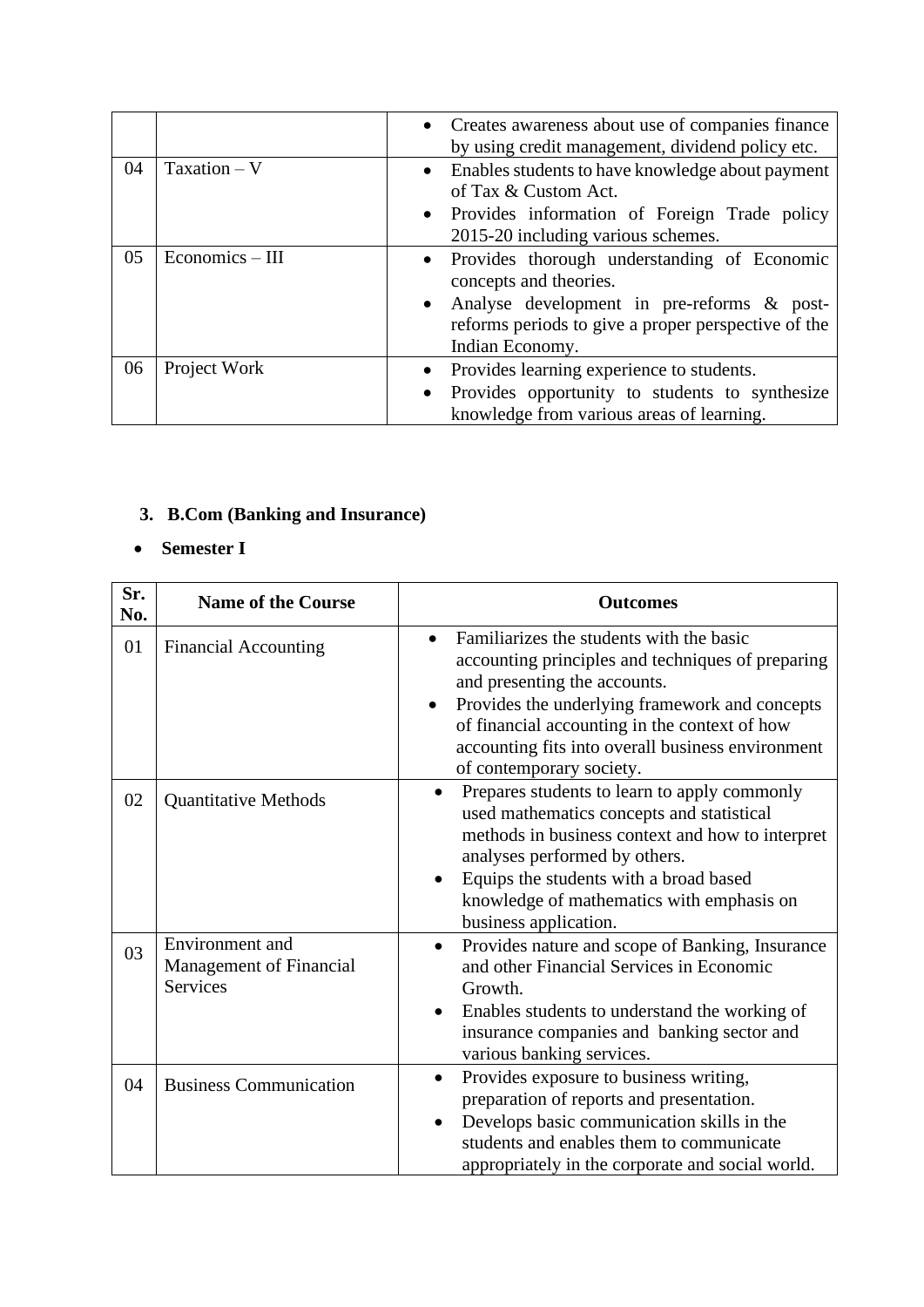|    |                 | • Creates awareness about use of companies finance<br>by using credit management, dividend policy etc.                            |
|----|-----------------|-----------------------------------------------------------------------------------------------------------------------------------|
| 04 | $Taxation - V$  | Enables students to have knowledge about payment<br>$\bullet$<br>of Tax & Custom Act.                                             |
|    |                 | • Provides information of Foreign Trade policy<br>2015-20 including various schemes.                                              |
| 05 | Economics - III | Provides thorough understanding of Economic<br>$\bullet$<br>concepts and theories.                                                |
|    |                 | Analyse development in pre-reforms & post-<br>$\bullet$<br>reforms periods to give a proper perspective of the<br>Indian Economy. |
| 06 | Project Work    | Provides learning experience to students.<br>$\bullet$                                                                            |
|    |                 | Provides opportunity to students to synthesize<br>$\bullet$<br>knowledge from various areas of learning.                          |

# **3. B.Com (Banking and Insurance)**

# • **Semester I**

| Sr.<br>No. | <b>Name of the Course</b>                                            | <b>Outcomes</b>                                                                                                                                                                                                                                                                                                          |
|------------|----------------------------------------------------------------------|--------------------------------------------------------------------------------------------------------------------------------------------------------------------------------------------------------------------------------------------------------------------------------------------------------------------------|
| 01         | <b>Financial Accounting</b>                                          | Familiarizes the students with the basic<br>accounting principles and techniques of preparing<br>and presenting the accounts.<br>Provides the underlying framework and concepts<br>of financial accounting in the context of how<br>accounting fits into overall business environment<br>of contemporary society.        |
| 02         | <b>Quantitative Methods</b>                                          | Prepares students to learn to apply commonly<br>$\bullet$<br>used mathematics concepts and statistical<br>methods in business context and how to interpret<br>analyses performed by others.<br>Equips the students with a broad based<br>$\bullet$<br>knowledge of mathematics with emphasis on<br>business application. |
| 03         | Environment and<br><b>Management of Financial</b><br><b>Services</b> | Provides nature and scope of Banking, Insurance<br>$\bullet$<br>and other Financial Services in Economic<br>Growth.<br>Enables students to understand the working of<br>insurance companies and banking sector and<br>various banking services.                                                                          |
| 04         | <b>Business Communication</b>                                        | Provides exposure to business writing,<br>$\bullet$<br>preparation of reports and presentation.<br>Develops basic communication skills in the<br>students and enables them to communicate<br>appropriately in the corporate and social world.                                                                            |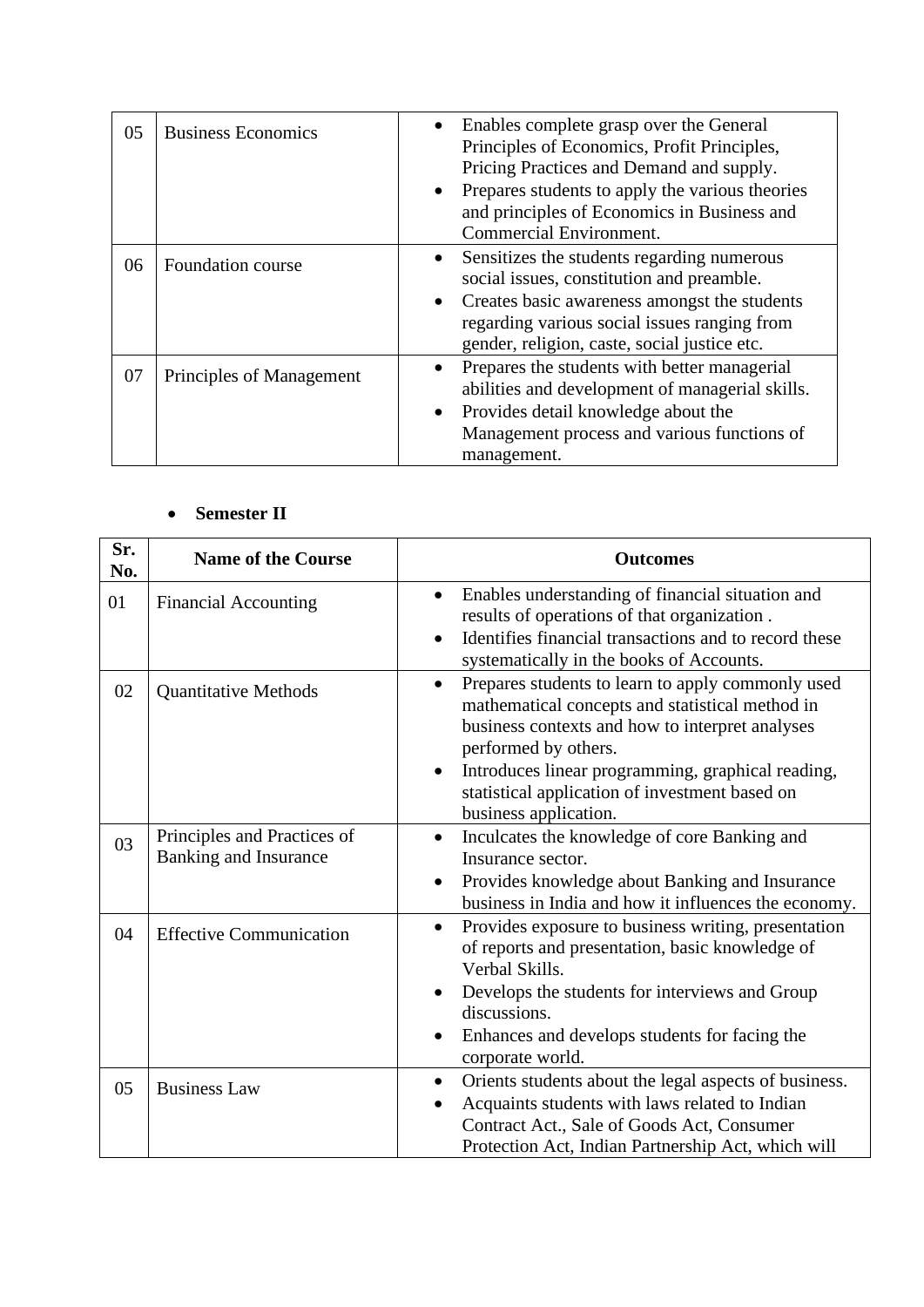| 05 | <b>Business Economics</b> | Enables complete grasp over the General<br>Principles of Economics, Profit Principles,<br>Pricing Practices and Demand and supply.<br>• Prepares students to apply the various theories<br>and principles of Economics in Business and<br><b>Commercial Environment.</b> |
|----|---------------------------|--------------------------------------------------------------------------------------------------------------------------------------------------------------------------------------------------------------------------------------------------------------------------|
| 06 | Foundation course         | Sensitizes the students regarding numerous<br>$\bullet$<br>social issues, constitution and preamble.<br>• Creates basic awareness amongst the students<br>regarding various social issues ranging from<br>gender, religion, caste, social justice etc.                   |
| 07 | Principles of Management  | Prepares the students with better managerial<br>$\bullet$<br>abilities and development of managerial skills.<br>Provides detail knowledge about the<br>$\bullet$<br>Management process and various functions of<br>management.                                           |

# • **Semester II**

| Sr.<br>No. | <b>Name of the Course</b>                            | <b>Outcomes</b>                                                                                                                                                                                                                                                                                                              |
|------------|------------------------------------------------------|------------------------------------------------------------------------------------------------------------------------------------------------------------------------------------------------------------------------------------------------------------------------------------------------------------------------------|
| 01         | <b>Financial Accounting</b>                          | Enables understanding of financial situation and<br>$\bullet$<br>results of operations of that organization.<br>Identifies financial transactions and to record these<br>systematically in the books of Accounts.                                                                                                            |
| 02         | <b>Quantitative Methods</b>                          | Prepares students to learn to apply commonly used<br>$\bullet$<br>mathematical concepts and statistical method in<br>business contexts and how to interpret analyses<br>performed by others.<br>Introduces linear programming, graphical reading,<br>statistical application of investment based on<br>business application. |
| 03         | Principles and Practices of<br>Banking and Insurance | Inculcates the knowledge of core Banking and<br>Insurance sector.<br>Provides knowledge about Banking and Insurance<br>$\bullet$<br>business in India and how it influences the economy.                                                                                                                                     |
| 04         | <b>Effective Communication</b>                       | Provides exposure to business writing, presentation<br>$\bullet$<br>of reports and presentation, basic knowledge of<br>Verbal Skills.<br>Develops the students for interviews and Group<br>discussions.<br>Enhances and develops students for facing the<br>corporate world.                                                 |
| 05         | <b>Business Law</b>                                  | Orients students about the legal aspects of business.<br>$\bullet$<br>Acquaints students with laws related to Indian<br>Contract Act., Sale of Goods Act, Consumer<br>Protection Act, Indian Partnership Act, which will                                                                                                     |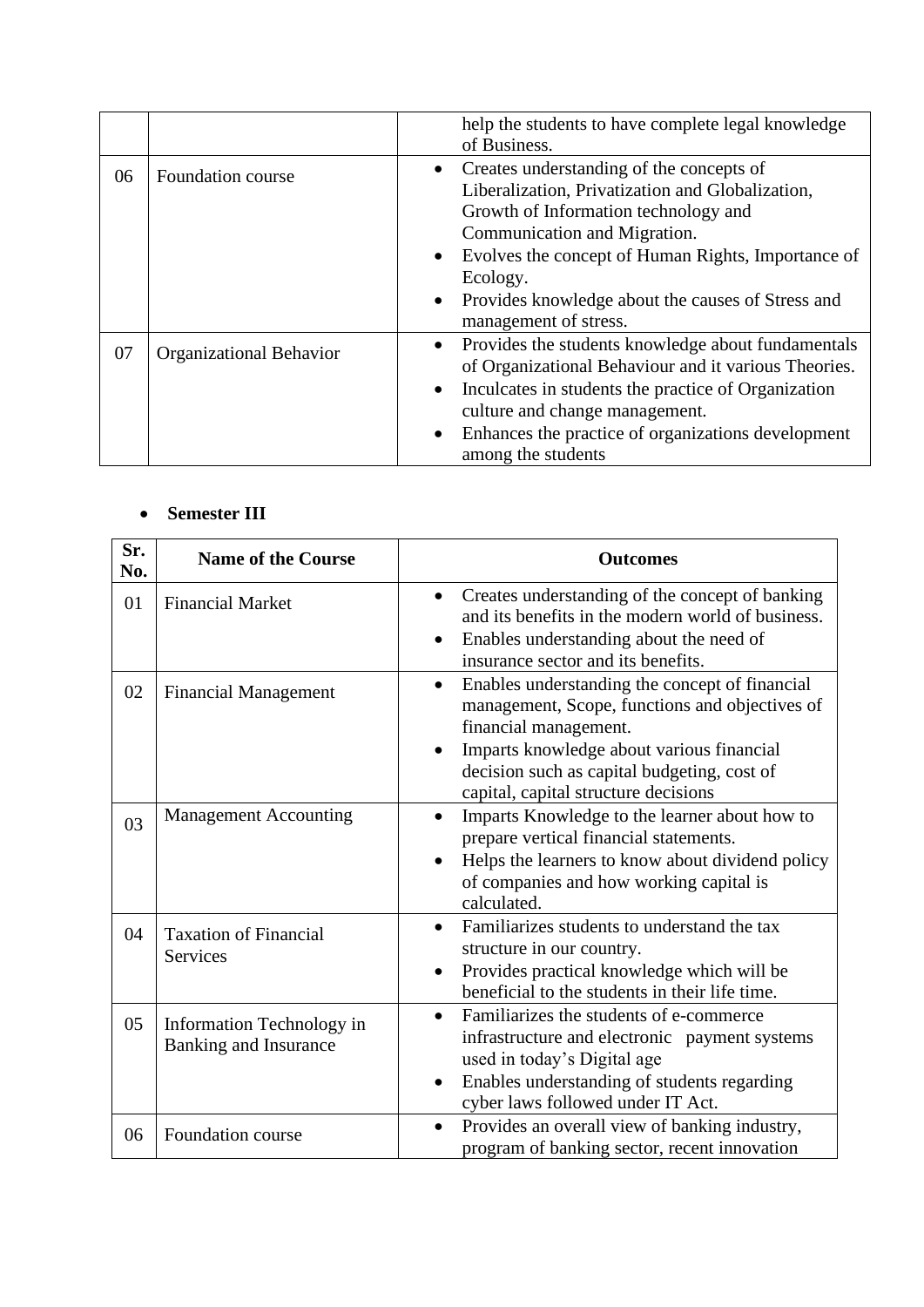|    |                                | help the students to have complete legal knowledge<br>of Business.                                                                                                                                                                                                                                                   |
|----|--------------------------------|----------------------------------------------------------------------------------------------------------------------------------------------------------------------------------------------------------------------------------------------------------------------------------------------------------------------|
| 06 | Foundation course              | Creates understanding of the concepts of<br>Liberalization, Privatization and Globalization,<br>Growth of Information technology and<br>Communication and Migration.<br>Evolves the concept of Human Rights, Importance of<br>Ecology.<br>Provides knowledge about the causes of Stress and<br>management of stress. |
| 07 | <b>Organizational Behavior</b> | Provides the students knowledge about fundamentals<br>of Organizational Behaviour and it various Theories.<br>Inculcates in students the practice of Organization<br>culture and change management.<br>Enhances the practice of organizations development<br>among the students                                      |

# • **Semester III**

| Sr.<br>No. | <b>Name of the Course</b>                                 | <b>Outcomes</b>                                                                                                                                                                                                                                                            |
|------------|-----------------------------------------------------------|----------------------------------------------------------------------------------------------------------------------------------------------------------------------------------------------------------------------------------------------------------------------------|
| 01         | <b>Financial Market</b>                                   | Creates understanding of the concept of banking<br>$\bullet$<br>and its benefits in the modern world of business.<br>Enables understanding about the need of<br>insurance sector and its benefits.                                                                         |
| 02         | <b>Financial Management</b>                               | Enables understanding the concept of financial<br>$\bullet$<br>management, Scope, functions and objectives of<br>financial management.<br>Imparts knowledge about various financial<br>decision such as capital budgeting, cost of<br>capital, capital structure decisions |
| 03         | <b>Management Accounting</b>                              | Imparts Knowledge to the learner about how to<br>prepare vertical financial statements.<br>Helps the learners to know about dividend policy<br>of companies and how working capital is<br>calculated.                                                                      |
| 04         | <b>Taxation of Financial</b><br>Services                  | Familiarizes students to understand the tax<br>$\bullet$<br>structure in our country.<br>Provides practical knowledge which will be<br>beneficial to the students in their life time.                                                                                      |
| 05         | Information Technology in<br><b>Banking and Insurance</b> | Familiarizes the students of e-commerce<br>$\bullet$<br>infrastructure and electronic payment systems<br>used in today's Digital age<br>Enables understanding of students regarding<br>$\bullet$<br>cyber laws followed under IT Act.                                      |
| 06         | Foundation course                                         | Provides an overall view of banking industry,<br>$\bullet$<br>program of banking sector, recent innovation                                                                                                                                                                 |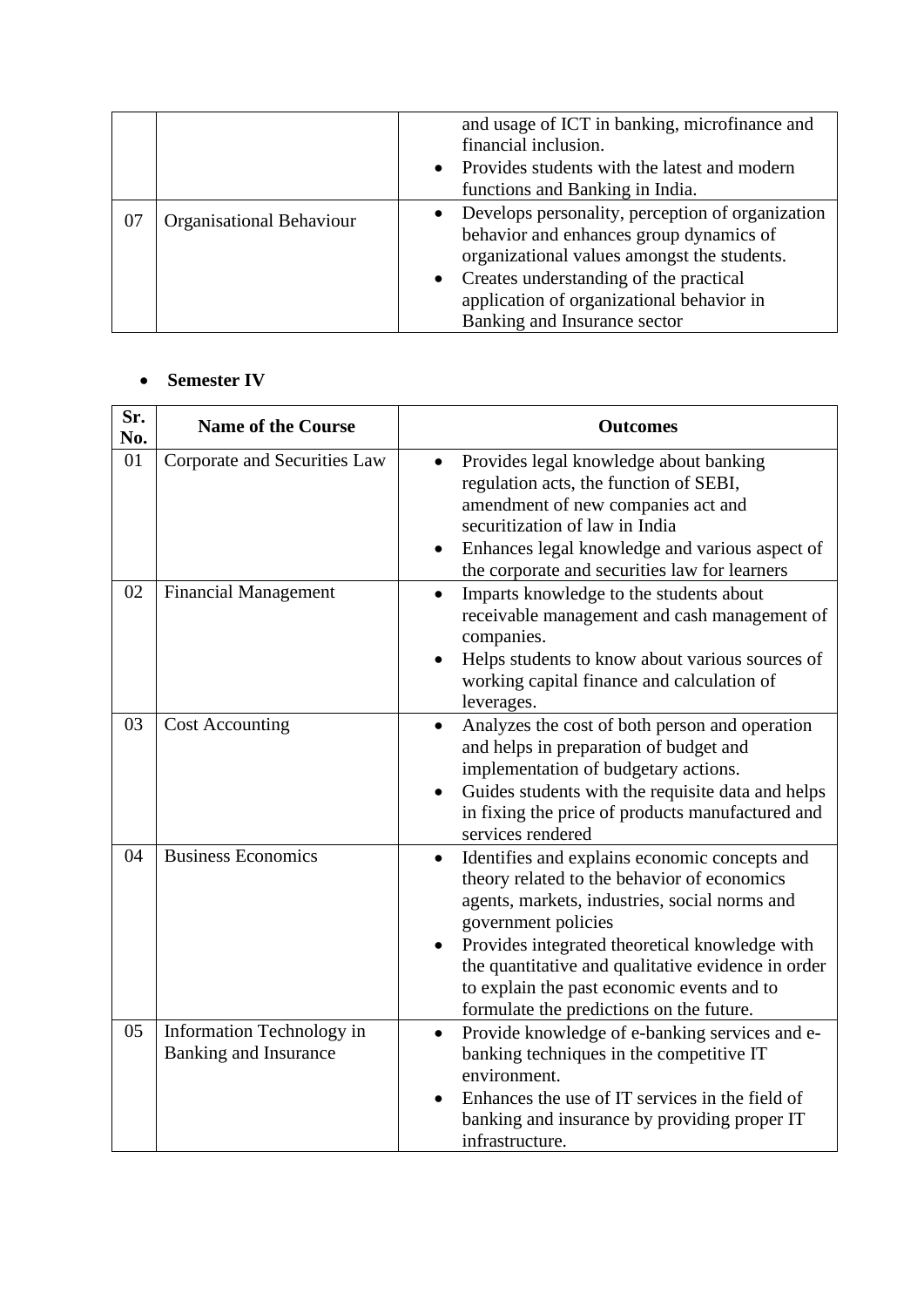|    |                                 | and usage of ICT in banking, microfinance and      |
|----|---------------------------------|----------------------------------------------------|
|    |                                 | financial inclusion.                               |
|    |                                 | • Provides students with the latest and modern     |
|    |                                 | functions and Banking in India.                    |
| 07 | <b>Organisational Behaviour</b> | • Develops personality, perception of organization |
|    |                                 | behavior and enhances group dynamics of            |
|    |                                 | organizational values amongst the students.        |
|    |                                 | • Creates understanding of the practical           |
|    |                                 | application of organizational behavior in          |
|    |                                 | Banking and Insurance sector                       |

### • **Semester IV**

| Sr.<br>No. | <b>Name of the Course</b>                                 | <b>Outcomes</b>                                                                                                                                                                                                                                                                                                                                                                     |
|------------|-----------------------------------------------------------|-------------------------------------------------------------------------------------------------------------------------------------------------------------------------------------------------------------------------------------------------------------------------------------------------------------------------------------------------------------------------------------|
| 01         | Corporate and Securities Law                              | Provides legal knowledge about banking<br>regulation acts, the function of SEBI,<br>amendment of new companies act and<br>securitization of law in India<br>Enhances legal knowledge and various aspect of<br>٠<br>the corporate and securities law for learners                                                                                                                    |
| 02         | <b>Financial Management</b>                               | Imparts knowledge to the students about<br>receivable management and cash management of<br>companies.<br>Helps students to know about various sources of<br>working capital finance and calculation of<br>leverages.                                                                                                                                                                |
| 03         | <b>Cost Accounting</b>                                    | Analyzes the cost of both person and operation<br>and helps in preparation of budget and<br>implementation of budgetary actions.<br>Guides students with the requisite data and helps<br>in fixing the price of products manufactured and<br>services rendered                                                                                                                      |
| 04         | <b>Business Economics</b>                                 | Identifies and explains economic concepts and<br>$\bullet$<br>theory related to the behavior of economics<br>agents, markets, industries, social norms and<br>government policies<br>Provides integrated theoretical knowledge with<br>the quantitative and qualitative evidence in order<br>to explain the past economic events and to<br>formulate the predictions on the future. |
| 05         | Information Technology in<br><b>Banking and Insurance</b> | Provide knowledge of e-banking services and e-<br>$\bullet$<br>banking techniques in the competitive IT<br>environment.<br>Enhances the use of IT services in the field of<br>banking and insurance by providing proper IT<br>infrastructure.                                                                                                                                       |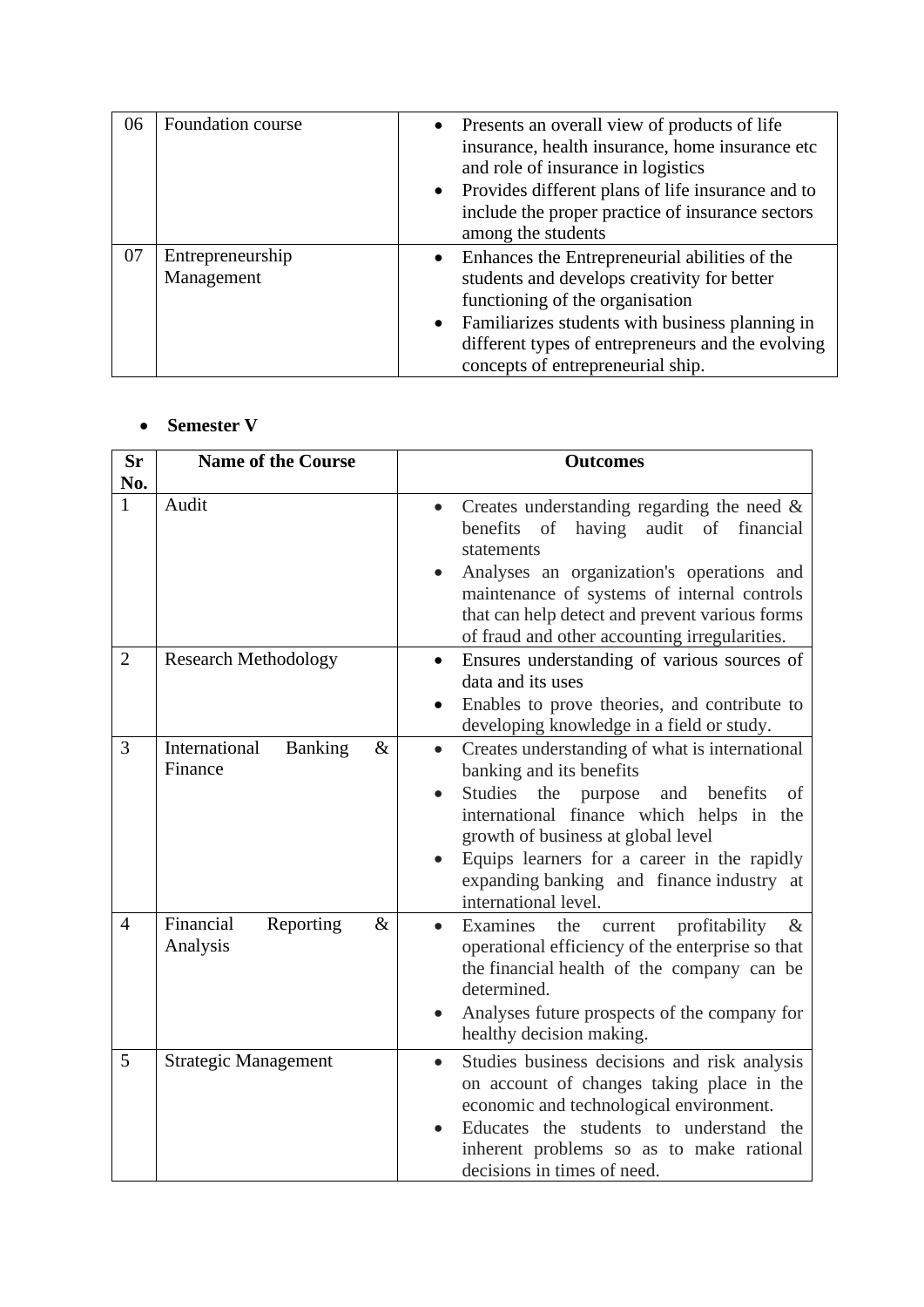| 06 | Foundation course              |           | • Presents an overall view of products of life<br>insurance, health insurance, home insurance etc<br>and role of insurance in logistics<br>• Provides different plans of life insurance and to<br>include the proper practice of insurance sectors<br>among the students     |
|----|--------------------------------|-----------|------------------------------------------------------------------------------------------------------------------------------------------------------------------------------------------------------------------------------------------------------------------------------|
| 07 | Entrepreneurship<br>Management | $\bullet$ | Enhances the Entrepreneurial abilities of the<br>students and develops creativity for better<br>functioning of the organisation<br>Familiarizes students with business planning in<br>different types of entrepreneurs and the evolving<br>concepts of entrepreneurial ship. |

# • **Semester V**

| Sr<br>No.      | <b>Name of the Course</b>                          | <b>Outcomes</b>                                                                                                                                                                                                                                                                                                                                  |
|----------------|----------------------------------------------------|--------------------------------------------------------------------------------------------------------------------------------------------------------------------------------------------------------------------------------------------------------------------------------------------------------------------------------------------------|
| 1              | Audit                                              | Creates understanding regarding the need $\&$<br>$\bullet$<br>audit of financial<br>benefits<br>of<br>having<br>statements<br>Analyses an organization's operations and<br>maintenance of systems of internal controls<br>that can help detect and prevent various forms<br>of fraud and other accounting irregularities.                        |
| $\overline{2}$ | <b>Research Methodology</b>                        | Ensures understanding of various sources of<br>data and its uses<br>Enables to prove theories, and contribute to<br>$\bullet$<br>developing knowledge in a field or study.                                                                                                                                                                       |
| 3              | International<br><b>Banking</b><br>$\&$<br>Finance | Creates understanding of what is international<br>$\bullet$<br>banking and its benefits<br>Studies<br>the purpose<br>and<br>benefits<br>of<br>international finance which helps in the<br>growth of business at global level<br>Equips learners for a career in the rapidly<br>expanding banking and finance industry at<br>international level. |
| $\overline{4}$ | Financial<br>Reporting<br>$\&$<br>Analysis         | Examines<br>the<br>current<br>profitability<br>$\&$<br>operational efficiency of the enterprise so that<br>the financial health of the company can be<br>determined.<br>Analyses future prospects of the company for<br>healthy decision making.                                                                                                 |
| 5              | <b>Strategic Management</b>                        | Studies business decisions and risk analysis<br>$\bullet$<br>on account of changes taking place in the<br>economic and technological environment.<br>Educates the students to understand the<br>inherent problems so as to make rational<br>decisions in times of need.                                                                          |